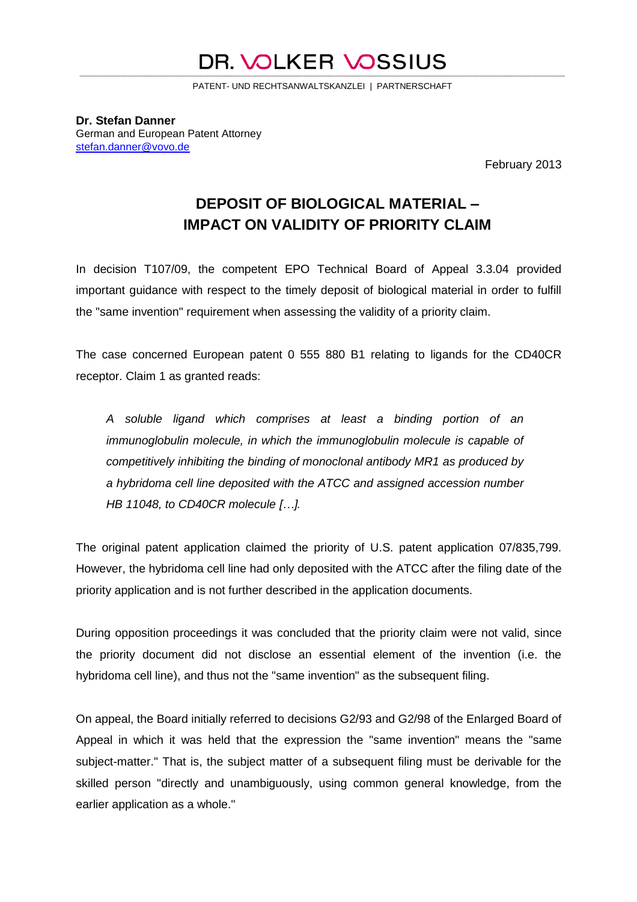## DR. VOLKER VOSSIUS \_\_\_\_\_\_\_\_\_\_\_\_\_\_\_\_\_\_\_\_\_\_\_\_\_\_\_\_\_\_\_\_\_\_\_\_\_\_\_\_\_\_\_\_\_\_\_\_\_\_\_\_\_\_\_\_\_\_\_\_\_\_\_\_\_\_\_\_\_\_\_\_\_\_\_\_\_\_\_\_\_\_\_\_\_\_\_\_\_\_\_\_\_\_\_\_\_\_\_\_\_\_\_\_\_\_\_\_\_\_\_\_\_\_\_\_\_\_\_\_\_\_\_\_\_\_\_\_\_\_\_\_\_\_\_\_\_\_\_\_\_\_\_\_\_\_\_\_\_\_\_\_\_\_\_\_\_\_\_\_\_\_\_

PATENT- UND RECHTSANWALTSKANZLEI | PARTNERSCHAFT

**Dr. Stefan Danner** German and European Patent Attorney [stefan.danner@vovo.de](mailto:danner@dhs-patent.de)

February 2013

## **DEPOSIT OF BIOLOGICAL MATERIAL – IMPACT ON VALIDITY OF PRIORITY CLAIM**

In decision T107/09, the competent EPO Technical Board of Appeal 3.3.04 provided important guidance with respect to the timely deposit of biological material in order to fulfill the "same invention" requirement when assessing the validity of a priority claim.

The case concerned European patent 0 555 880 B1 relating to ligands for the CD40CR receptor. Claim 1 as granted reads:

*A soluble ligand which comprises at least a binding portion of an immunoglobulin molecule, in which the immunoglobulin molecule is capable of competitively inhibiting the binding of monoclonal antibody MR1 as produced by a hybridoma cell line deposited with the ATCC and assigned accession number HB 11048, to CD40CR molecule […].* 

The original patent application claimed the priority of U.S. patent application 07/835,799. However, the hybridoma cell line had only deposited with the ATCC after the filing date of the priority application and is not further described in the application documents.

During opposition proceedings it was concluded that the priority claim were not valid, since the priority document did not disclose an essential element of the invention (i.e. the hybridoma cell line), and thus not the "same invention" as the subsequent filing.

On appeal, the Board initially referred to decisions G2/93 and G2/98 of the Enlarged Board of Appeal in which it was held that the expression the "same invention" means the "same subject-matter." That is, the subject matter of a subsequent filing must be derivable for the skilled person "directly and unambiguously, using common general knowledge, from the earlier application as a whole."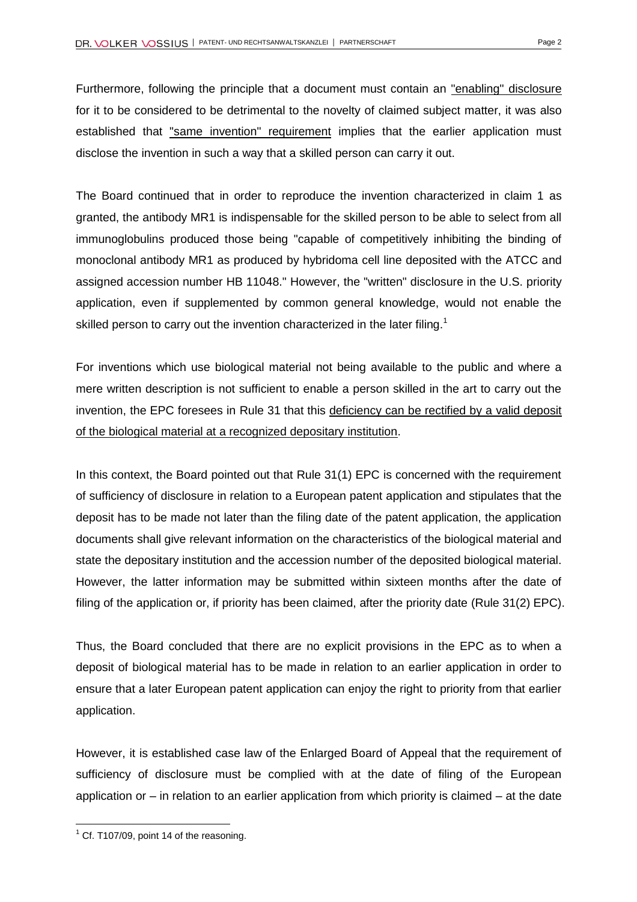Furthermore, following the principle that a document must contain an "enabling" disclosure for it to be considered to be detrimental to the novelty of claimed subject matter, it was also established that "same invention" requirement implies that the earlier application must disclose the invention in such a way that a skilled person can carry it out.

The Board continued that in order to reproduce the invention characterized in claim 1 as granted, the antibody MR1 is indispensable for the skilled person to be able to select from all immunoglobulins produced those being "capable of competitively inhibiting the binding of monoclonal antibody MR1 as produced by hybridoma cell line deposited with the ATCC and assigned accession number HB 11048." However, the "written" disclosure in the U.S. priority application, even if supplemented by common general knowledge, would not enable the skilled person to carry out the invention characterized in the later filing.<sup>1</sup>

For inventions which use biological material not being available to the public and where a mere written description is not sufficient to enable a person skilled in the art to carry out the invention, the EPC foresees in Rule 31 that this deficiency can be rectified by a valid deposit of the biological material at a recognized depositary institution.

In this context, the Board pointed out that Rule 31(1) EPC is concerned with the requirement of sufficiency of disclosure in relation to a European patent application and stipulates that the deposit has to be made not later than the filing date of the patent application, the application documents shall give relevant information on the characteristics of the biological material and state the depositary institution and the accession number of the deposited biological material. However, the latter information may be submitted within sixteen months after the date of filing of the application or, if priority has been claimed, after the priority date (Rule 31(2) EPC).

Thus, the Board concluded that there are no explicit provisions in the EPC as to when a deposit of biological material has to be made in relation to an earlier application in order to ensure that a later European patent application can enjoy the right to priority from that earlier application.

However, it is established case law of the Enlarged Board of Appeal that the requirement of sufficiency of disclosure must be complied with at the date of filing of the European application or – in relation to an earlier application from which priority is claimed – at the date

 $\overline{a}$ 

 $1$  Cf. T107/09, point 14 of the reasoning.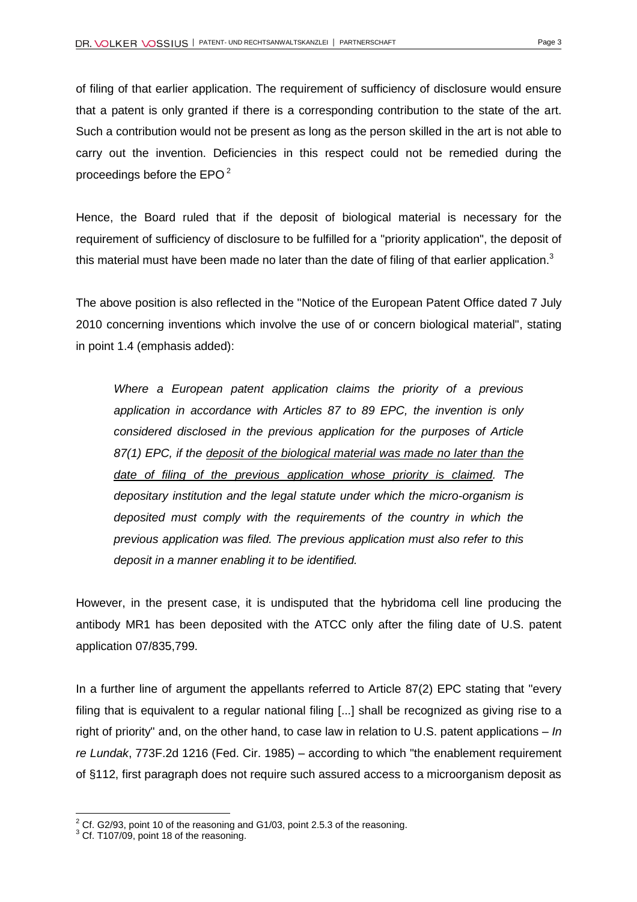of filing of that earlier application. The requirement of sufficiency of disclosure would ensure that a patent is only granted if there is a corresponding contribution to the state of the art. Such a contribution would not be present as long as the person skilled in the art is not able to carry out the invention. Deficiencies in this respect could not be remedied during the proceedings before the EPO <sup>2</sup>

Hence, the Board ruled that if the deposit of biological material is necessary for the requirement of sufficiency of disclosure to be fulfilled for a "priority application", the deposit of this material must have been made no later than the date of filing of that earlier application.<sup>3</sup>

The above position is also reflected in the "Notice of the European Patent Office dated 7 July 2010 concerning inventions which involve the use of or concern biological material", stating in point 1.4 (emphasis added):

*Where a European patent application claims the priority of a previous application in accordance with Articles 87 to 89 EPC, the invention is only considered disclosed in the previous application for the purposes of Article 87(1) EPC, if the deposit of the biological material was made no later than the date of filing of the previous application whose priority is claimed. The depositary institution and the legal statute under which the micro-organism is deposited must comply with the requirements of the country in which the previous application was filed. The previous application must also refer to this deposit in a manner enabling it to be identified.*

However, in the present case, it is undisputed that the hybridoma cell line producing the antibody MR1 has been deposited with the ATCC only after the filing date of U.S. patent application 07/835,799.

In a further line of argument the appellants referred to Article 87(2) EPC stating that "every filing that is equivalent to a regular national filing [...] shall be recognized as giving rise to a right of priority" and, on the other hand, to case law in relation to U.S. patent applications – *[In](https://bulk.resource.org/courts.gov/c/F2/773/773.F2d.1216.85-887.html)  re Lundak*[, 773F.2d 1216 \(Fed. Cir. 1985\)](https://bulk.resource.org/courts.gov/c/F2/773/773.F2d.1216.85-887.html) – according to which "the enablement requirement of §112, first paragraph does not require such assured access to a microorganism deposit as

l

 $2^2$  Cf. G2/93, point 10 of the reasoning and G1/03, point 2.5.3 of the reasoning.

 $3$  Cf. T107/09, point 18 of the reasoning.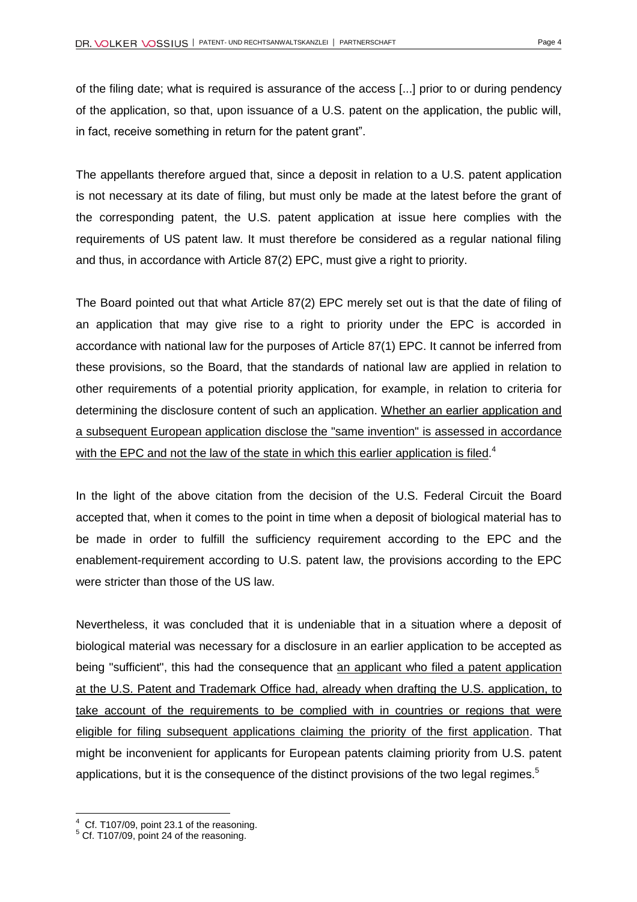of the filing date; what is required is assurance of the access [...] prior to or during pendency of the application, so that, upon issuance of a U.S. patent on the application, the public will, in fact, receive something in return for the patent grant".

The appellants therefore argued that, since a deposit in relation to a U.S. patent application is not necessary at its date of filing, but must only be made at the latest before the grant of the corresponding patent, the U.S. patent application at issue here complies with the requirements of US patent law. It must therefore be considered as a regular national filing and thus, in accordance with Article 87(2) EPC, must give a right to priority.

The Board pointed out that what Article 87(2) EPC merely set out is that the date of filing of an application that may give rise to a right to priority under the EPC is accorded in accordance with national law for the purposes of Article 87(1) EPC. It cannot be inferred from these provisions, so the Board, that the standards of national law are applied in relation to other requirements of a potential priority application, for example, in relation to criteria for determining the disclosure content of such an application. Whether an earlier application and a subsequent European application disclose the "same invention" is assessed in accordance with the EPC and not the law of the state in which this earlier application is filed.<sup>4</sup>

In the light of the above citation from the decision of the U.S. Federal Circuit the Board accepted that, when it comes to the point in time when a deposit of biological material has to be made in order to fulfill the sufficiency requirement according to the EPC and the enablement-requirement according to U.S. patent law, the provisions according to the EPC were stricter than those of the US law.

Nevertheless, it was concluded that it is undeniable that in a situation where a deposit of biological material was necessary for a disclosure in an earlier application to be accepted as being "sufficient", this had the consequence that an applicant who filed a patent application at the U.S. Patent and Trademark Office had, already when drafting the U.S. application, to take account of the requirements to be complied with in countries or regions that were eligible for filing subsequent applications claiming the priority of the first application. That might be inconvenient for applicants for European patents claiming priority from U.S. patent applications, but it is the consequence of the distinct provisions of the two legal regimes.<sup>5</sup>

l

 $4$  Cf. T107/09, point 23.1 of the reasoning.

 $5$  Cf. T107/09, point 24 of the reasoning.